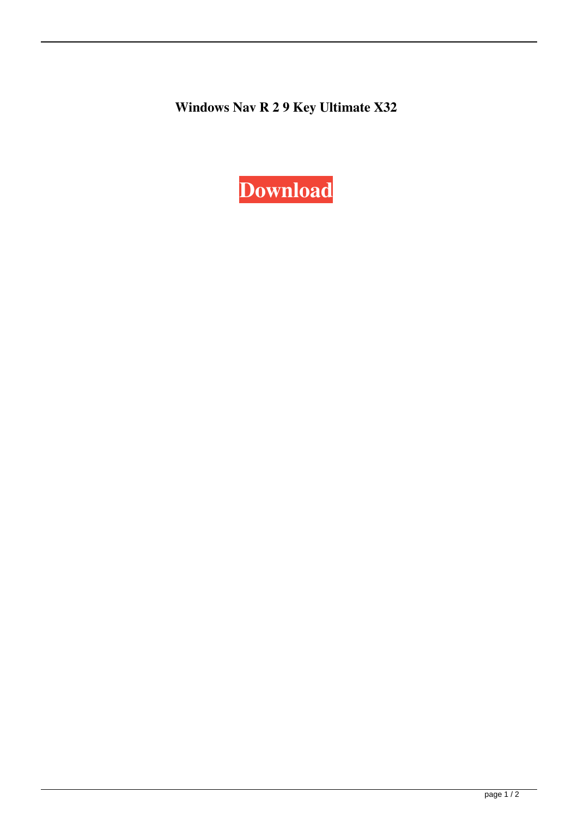**Windows Nav R 2 9 Key Ultimate X32**